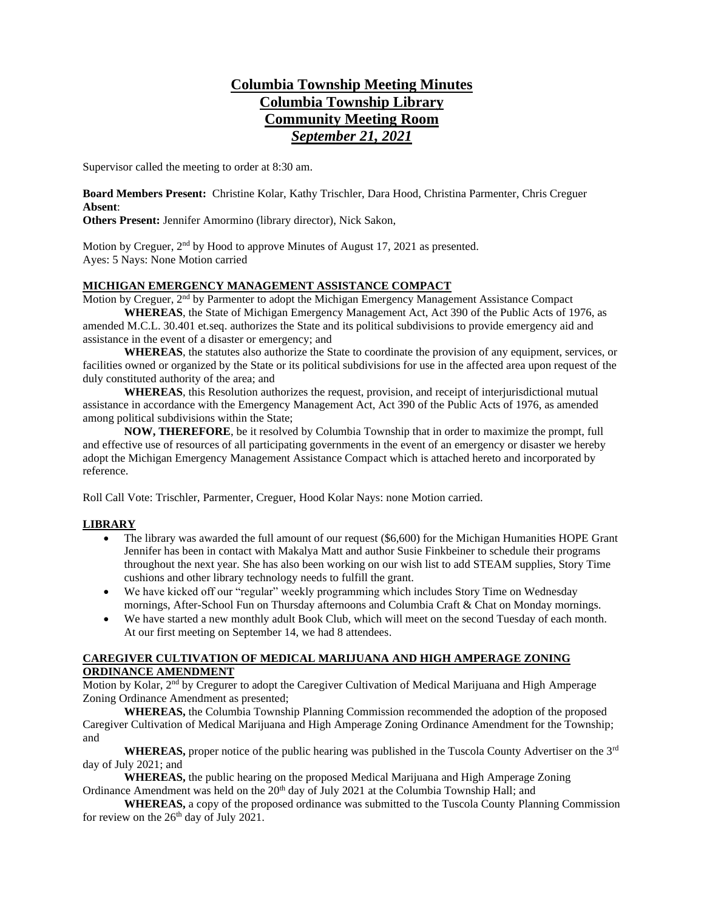# **Columbia Township Meeting Minutes Columbia Township Library Community Meeting Room** *September 21, 2021*

Supervisor called the meeting to order at 8:30 am.

**Board Members Present:** Christine Kolar, Kathy Trischler, Dara Hood, Christina Parmenter, Chris Creguer **Absent**:

**Others Present:** Jennifer Amormino (library director), Nick Sakon,

Motion by Creguer, 2<sup>nd</sup> by Hood to approve Minutes of August 17, 2021 as presented. Ayes: 5 Nays: None Motion carried

### **MICHIGAN EMERGENCY MANAGEMENT ASSISTANCE COMPACT**

Motion by Creguer, 2<sup>nd</sup> by Parmenter to adopt the Michigan Emergency Management Assistance Compact **WHEREAS**, the State of Michigan Emergency Management Act, Act 390 of the Public Acts of 1976, as

amended M.C.L. 30.401 et.seq. authorizes the State and its political subdivisions to provide emergency aid and assistance in the event of a disaster or emergency; and

**WHEREAS**, the statutes also authorize the State to coordinate the provision of any equipment, services, or facilities owned or organized by the State or its political subdivisions for use in the affected area upon request of the duly constituted authority of the area; and

**WHEREAS**, this Resolution authorizes the request, provision, and receipt of interjurisdictional mutual assistance in accordance with the Emergency Management Act, Act 390 of the Public Acts of 1976, as amended among political subdivisions within the State;

**NOW, THEREFORE**, be it resolved by Columbia Township that in order to maximize the prompt, full and effective use of resources of all participating governments in the event of an emergency or disaster we hereby adopt the Michigan Emergency Management Assistance Compact which is attached hereto and incorporated by reference.

Roll Call Vote: Trischler, Parmenter, Creguer, Hood Kolar Nays: none Motion carried.

### **LIBRARY**

- The library was awarded the full amount of our request (\$6,600) for the Michigan Humanities HOPE Grant Jennifer has been in contact with Makalya Matt and author Susie Finkbeiner to schedule their programs throughout the next year. She has also been working on our wish list to add STEAM supplies, Story Time cushions and other library technology needs to fulfill the grant.
- We have kicked off our "regular" weekly programming which includes Story Time on Wednesday mornings, After-School Fun on Thursday afternoons and Columbia Craft & Chat on Monday mornings.
- We have started a new monthly adult Book Club, which will meet on the second Tuesday of each month. At our first meeting on September 14, we had 8 attendees.

### **CAREGIVER CULTIVATION OF MEDICAL MARIJUANA AND HIGH AMPERAGE ZONING ORDINANCE AMENDMENT**

Motion by Kolar, 2<sup>nd</sup> by Cregurer to adopt the Caregiver Cultivation of Medical Marijuana and High Amperage Zoning Ordinance Amendment as presented;

**WHEREAS,** the Columbia Township Planning Commission recommended the adoption of the proposed Caregiver Cultivation of Medical Marijuana and High Amperage Zoning Ordinance Amendment for the Township; and

**WHEREAS,** proper notice of the public hearing was published in the Tuscola County Advertiser on the 3rd day of July 2021; and

**WHEREAS,** the public hearing on the proposed Medical Marijuana and High Amperage Zoning Ordinance Amendment was held on the  $20<sup>th</sup>$  day of July 2021 at the Columbia Township Hall; and

**WHEREAS,** a copy of the proposed ordinance was submitted to the Tuscola County Planning Commission for review on the  $26<sup>th</sup>$  day of July 2021.